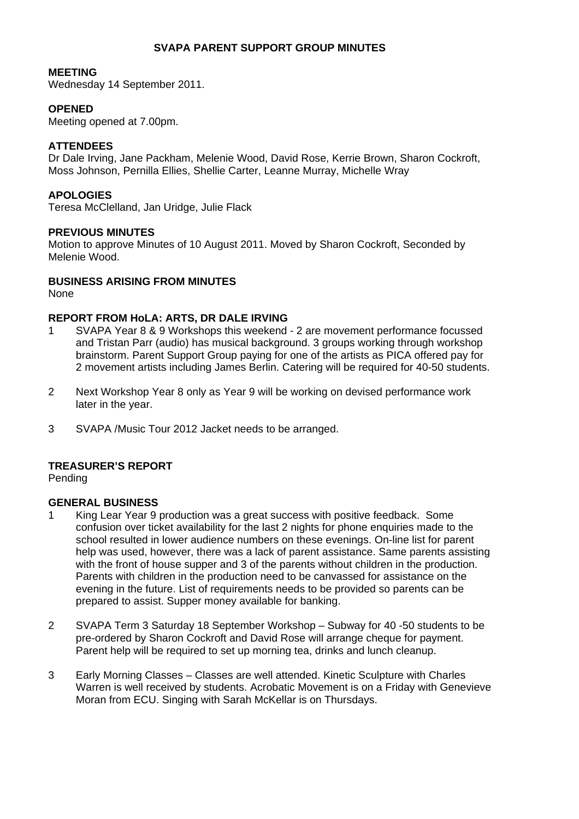# **SVAPA PARENT SUPPORT GROUP MINUTES**

### **MEETING**

Wednesday 14 September 2011.

# **OPENED**

Meeting opened at 7.00pm.

## **ATTENDEES**

Dr Dale Irving, Jane Packham, Melenie Wood, David Rose, Kerrie Brown, Sharon Cockroft, Moss Johnson, Pernilla Ellies, Shellie Carter, Leanne Murray, Michelle Wray

# **APOLOGIES**

Teresa McClelland, Jan Uridge, Julie Flack

## **PREVIOUS MINUTES**

Motion to approve Minutes of 10 August 2011. Moved by Sharon Cockroft, Seconded by Melenie Wood.

# **BUSINESS ARISING FROM MINUTES**

None

### **REPORT FROM HoLA: ARTS, DR DALE IRVING**

- 1 SVAPA Year 8 & 9 Workshops this weekend 2 are movement performance focussed and Tristan Parr (audio) has musical background. 3 groups working through workshop brainstorm. Parent Support Group paying for one of the artists as PICA offered pay for 2 movement artists including James Berlin. Catering will be required for 40-50 students.
- 2 Next Workshop Year 8 only as Year 9 will be working on devised performance work later in the year.
- 3 SVAPA /Music Tour 2012 Jacket needs to be arranged.

# **TREASURER'S REPORT**

Pending

#### **GENERAL BUSINESS**

- 1 King Lear Year 9 production was a great success with positive feedback. Some confusion over ticket availability for the last 2 nights for phone enquiries made to the school resulted in lower audience numbers on these evenings. On-line list for parent help was used, however, there was a lack of parent assistance. Same parents assisting with the front of house supper and 3 of the parents without children in the production. Parents with children in the production need to be canvassed for assistance on the evening in the future. List of requirements needs to be provided so parents can be prepared to assist. Supper money available for banking.
- 2 SVAPA Term 3 Saturday 18 September Workshop Subway for 40 -50 students to be pre-ordered by Sharon Cockroft and David Rose will arrange cheque for payment. Parent help will be required to set up morning tea, drinks and lunch cleanup.
- 3 Early Morning Classes Classes are well attended. Kinetic Sculpture with Charles Warren is well received by students. Acrobatic Movement is on a Friday with Genevieve Moran from ECU. Singing with Sarah McKellar is on Thursdays.